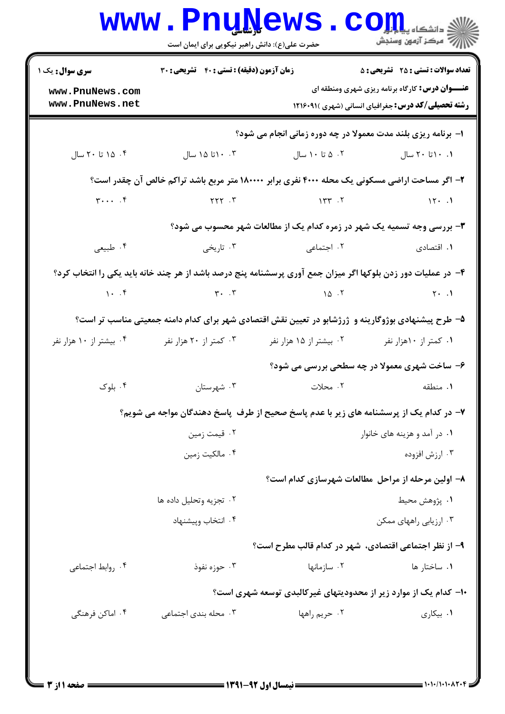| <b>سری سوال :</b> یک ۱                        | زمان آزمون (دقیقه) : تستی : 40 گشریحی : 30                                                                                                                                                                                                                                               |                                                                                                              | <b>تعداد سوالات : تستی : 25 - تشریحی : 5</b>               |  |  |
|-----------------------------------------------|------------------------------------------------------------------------------------------------------------------------------------------------------------------------------------------------------------------------------------------------------------------------------------------|--------------------------------------------------------------------------------------------------------------|------------------------------------------------------------|--|--|
| www.PnuNews.com                               |                                                                                                                                                                                                                                                                                          |                                                                                                              | <b>عنـــوان درس:</b> کارگاه برنامه ریزی شهری ومنطقه ای     |  |  |
| www.PnuNews.net                               |                                                                                                                                                                                                                                                                                          |                                                                                                              | <b>رشته تحصیلی/کد درس:</b> جغرافیای انسانی (شهری )۲۱۶۰۹۱ ( |  |  |
|                                               | ۱- برنامه ریزی بلند مدت معمولا در چه دوره زمانی انجام می شود؟                                                                                                                                                                                                                            |                                                                                                              |                                                            |  |  |
| ۰۴ تا ۲۰ سال                                  | ۰۰ ۱۵ تا ۱۵ سال                                                                                                                                                                                                                                                                          | ۰۲ تا ۱۰ سال                                                                                                 | ۰.۱ ۲۰ تا ۲۰ سال                                           |  |  |
|                                               |                                                                                                                                                                                                                                                                                          | ۲- اگر مساحت اراضی مسکونی یک محله ۴۰۰۰ نفری برابر ۱۸۰۰۰۰ متر مربع باشد تراکم خالص آن چقدر است؟               |                                                            |  |  |
| $\mathbf{y} \cdot \cdot \cdot$ . $\mathbf{y}$ |                                                                                                                                                                                                                                                                                          | $YYY \tY$                                                                                                    |                                                            |  |  |
|                                               |                                                                                                                                                                                                                                                                                          | ۳- بررسی وجه تسمیه یک شهر در زمره کدام یک از مطالعات شهر محسوب می شود؟                                       |                                                            |  |  |
| ۰۴ طبیعی                                      | ۰۳ تاریخی                                                                                                                                                                                                                                                                                | ۰۲ اجتماعی                                                                                                   | ۰۱ اقتصادی                                                 |  |  |
|                                               |                                                                                                                                                                                                                                                                                          | ۴- در عملیات دور زدن بلوکها اگر میزان جمع آوری پرسشنامه پنج درصد باشد از هر چند خانه باید یکی را انتخاب کرد؟ |                                                            |  |  |
|                                               | $\gamma$ . $\zeta$ , $\zeta$ , $\zeta$ , $\zeta$ , $\zeta$ , $\zeta$ , $\zeta$ , $\zeta$ , $\zeta$ , $\zeta$ , $\zeta$ , $\zeta$ , $\zeta$ , $\zeta$ , $\zeta$ , $\zeta$ , $\zeta$ , $\zeta$ , $\zeta$ , $\zeta$ , $\zeta$ , $\zeta$ , $\zeta$ , $\zeta$ , $\zeta$ , $\zeta$ , $\zeta$ , |                                                                                                              | $\mathsf{Y} \cdot \mathsf{Y}$                              |  |  |
|                                               |                                                                                                                                                                                                                                                                                          | ۵– طرح پیشنهادی بوژوگارینه و ژرژشابو در تعیین نقش اقتصادی شهر برای کدام دامنه جمعیتی مناسب تر است؟           |                                                            |  |  |
| ۰۴ بیشتر از ۱۰ هزار نفر                       | ۰۳ کمتر از ۲۰ هزار نفر                                                                                                                                                                                                                                                                   | ۰۲ بیشتر از ۱۵ هزار نفر                                                                                      | ۰۱ کمتر از ۱۰هزار نفر                                      |  |  |
|                                               |                                                                                                                                                                                                                                                                                          | ۶- ساخت شهری معمولا در چه سطحی بررسی می شود؟                                                                 |                                                            |  |  |
| ۰۴ بلوک                                       | ۰۳ شهرستان                                                                                                                                                                                                                                                                               | ۲. محلات                                                                                                     | ۰۱ منطقه                                                   |  |  |
|                                               |                                                                                                                                                                                                                                                                                          | ۷– در کدام یک از پرسشنامه های زیر با عدم پاسخ صحیح از طرف پاسخ دهندگان مواجه می شویم؟                        |                                                            |  |  |
|                                               | ۰۲ قیمت زمین                                                                                                                                                                                                                                                                             |                                                                                                              | ۰۱ در آمد و هزینه های خانوار                               |  |  |
|                                               | ۰۴ مالکیت زمین                                                                                                                                                                                                                                                                           |                                                                                                              | ۰۳ ارزش افزوده                                             |  |  |
|                                               |                                                                                                                                                                                                                                                                                          | ۸– اولین مرحله از مراحل مطالعات شهرسازی کدام است؟                                                            |                                                            |  |  |
|                                               | ٠٢ تجزيه وتحليل داده ها                                                                                                                                                                                                                                                                  |                                                                                                              | ٠١. پژوهش محيط                                             |  |  |
|                                               | ۰۴ انتخاب وپیشنهاد                                                                                                                                                                                                                                                                       |                                                                                                              | ۰۳ ارزیابی راههای ممکن                                     |  |  |
|                                               |                                                                                                                                                                                                                                                                                          | ۹- از نظر اجتماعی اقتصادی، شهر در کدام قالب مطرح است؟                                                        |                                                            |  |  |
| ۰۴ روابط اجتماعی                              | ۰۳ حوزه نفوذ                                                                                                                                                                                                                                                                             | ۰۲ سازمانها                                                                                                  | ۰۱ ساختار ها                                               |  |  |
|                                               |                                                                                                                                                                                                                                                                                          | ۱۰– کدام یک از موارد زیر از محدودیتهای غیرکالبدی توسعه شهری است؟                                             |                                                            |  |  |
| ۰۴ اماکن فرهنگی                               | ۰۳ محله بندی اجتماعی                                                                                                                                                                                                                                                                     | ۰۲ حريم راهها                                                                                                | ۰۱ بیکاری                                                  |  |  |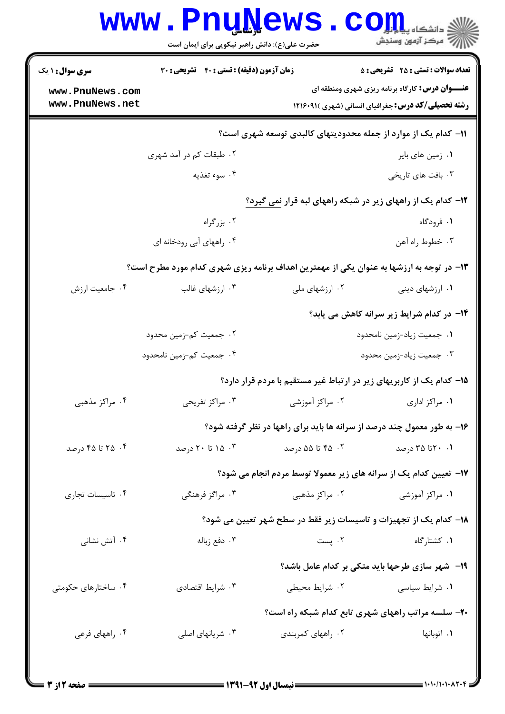|                        | <b>www.PnuNews</b><br>حضرت علی(ع): دانش راهبر نیکویی برای ایمان است                      |                    | د دانشڪاء پيد <mark>م کو</mark><br>اڳ مرڪز آزمون وسنڊش               |  |  |  |
|------------------------|------------------------------------------------------------------------------------------|--------------------|----------------------------------------------------------------------|--|--|--|
| <b>سری سوال : ۱ یک</b> | زمان آزمون (دقیقه) : تستی : 40 گشریحی : 30                                               |                    | <b>تعداد سوالات : تستی : 25 ۔ تشریحی : 5</b>                         |  |  |  |
| www.PnuNews.com        |                                                                                          |                    | <b>عنـــوان درس:</b> کارگاه برنامه ریزی شهری ومنطقه ای               |  |  |  |
| www.PnuNews.net        |                                                                                          |                    | <b>رشته تحصیلی/کد درس: جغرافیای انسانی (شهری )۱۲۱۶۰۹۱</b>            |  |  |  |
|                        | 1۱– کدام یک از موارد از جمله محدودیتهای کالبدی توسعه شهری است؟                           |                    |                                                                      |  |  |  |
|                        | ۰۲ طبقات کم در آمد شهری                                                                  |                    | ۰۱ زمین های بایر                                                     |  |  |  |
|                        | ۰۴ سوء تغذیه                                                                             |                    | ۰۳ بافت های تاریخی                                                   |  |  |  |
|                        |                                                                                          |                    | ۱۲- کدام یک از راههای زیر در شبکه راههای لبه قرار نمی گیرد؟          |  |  |  |
|                        | ۰۲ بزرگراه                                                                               |                    | ۱. فرودگاه                                                           |  |  |  |
|                        | ۰۴ راههای آبی رودخانه ای                                                                 |                    | ۰۳ خطوط راه آهن                                                      |  |  |  |
|                        | ۱۳- در توجه به ارزشها به عنوان یکی از مهمترین اهداف برنامه ریزی شهری کدام مورد مطرح است؟ |                    |                                                                      |  |  |  |
| ۰۴ جامعیت ارزش         | ۰۳ ارزشهای غالب                                                                          | ۰۲ ارزشهای ملی     | ۰۱ ارزشهای دینی                                                      |  |  |  |
|                        |                                                                                          |                    | ۱۴- در کدام شرایط زیر سرانه کاهش می یابد؟                            |  |  |  |
|                        | ۰۲ جمعیت کم-زمین محدود                                                                   |                    | ۰۱ جمعیت زیاد-زمین نامحدود                                           |  |  |  |
|                        | ۰۴ جمعیت کم-زمین نامحدود                                                                 |                    | ۰۳ جمعیت زیاد-زمین محدود                                             |  |  |  |
|                        |                                                                                          |                    | ۱۵– کدام یک از کاربریهای زیر در ارتباط غیر مستقیم با مردم قرار دارد؟ |  |  |  |
| ۰۴ مراکز مذهبی         | ۰۳ مراکز تفریحی                                                                          | ۰۲ مراکز آموزشی    | ۰۱ مراکز اداری                                                       |  |  |  |
|                        | ۱۶- به طور معمول چند درصد از سرانه ها باید برای راهها در نظر گرفته شود؟                  |                    |                                                                      |  |  |  |
| ۰۴ تا ۴۵ درصد          | ۰۳ تا ۲۰ درصد                                                                            | ۰۲ ـ ۴۵ تا ۵۵ درصد | ۰۱ ۲۰ تا ۳۵ درصد                                                     |  |  |  |
|                        | ۱۷- تعیین کدام یک از سرانه های زیر معمولا توسط مردم انجام می شود؟                        |                    |                                                                      |  |  |  |
| ۰۴ تاسیسات تجاری       | ۰۳ مراگز فرهنگی                                                                          | ۰۲ مراکز مذهبی     | ۰۱ مراکز آموزشی                                                      |  |  |  |
|                        |                                                                                          |                    | 18- کدام یک از تجهیزات و تاسیسات زیر فقط در سطح شهر تعیین می شود؟    |  |  |  |
| ۰۴ آتش نشانی           | ۰۳ دفع زباله                                                                             | ٢. پست             | ۰۱ کشتارگاه                                                          |  |  |  |
|                        |                                                                                          |                    | 19- شهر سازی طرحها باید متکی بر کدام عامل باشد؟                      |  |  |  |
| ۰۴ ساختارهای حکومتی    | ۰۳ شرايط اقتصادي                                                                         | ۰۲ شرایط محیطی     | ۰۱ شرایط سیاسی                                                       |  |  |  |
|                        |                                                                                          |                    | ۲۰- سلسه مراتب راههای شهری تابع کدام شبکه راه است؟                   |  |  |  |
| ۰۴ راههای فرعی         | ۰۳ شریانهای اصلی                                                                         | ۰۲ راههای کمربندی  | ۰۱ اتوبانها                                                          |  |  |  |
|                        |                                                                                          |                    |                                                                      |  |  |  |